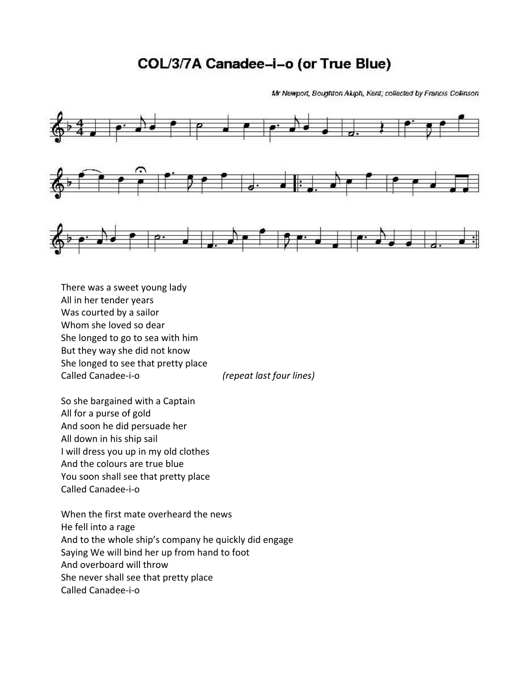## COL/3/7A Canadee-i-o (or True Blue)

Mr Newport, Boughton Aluph, Kent; collected by Francis Collinson.



There was a sweet young lady All in her tender years Was courted by a sailor Whom she loved so dear She longed to go to sea with him But they way she did not know She longed to see that pretty place Called Canadee‐i‐o *(repeat last four lines)*

So she bargained with a Captain All for a purse of gold And soon he did persuade her All down in his ship sail I will dress you up in my old clothes And the colours are true blue You soon shall see that pretty place Called Canadee‐i‐o

When the first mate overheard the news He fell into a rage And to the whole ship's company he quickly did engage Saying We will bind her up from hand to foot And overboard will throw She never shall see that pretty place Called Canadee‐i‐o